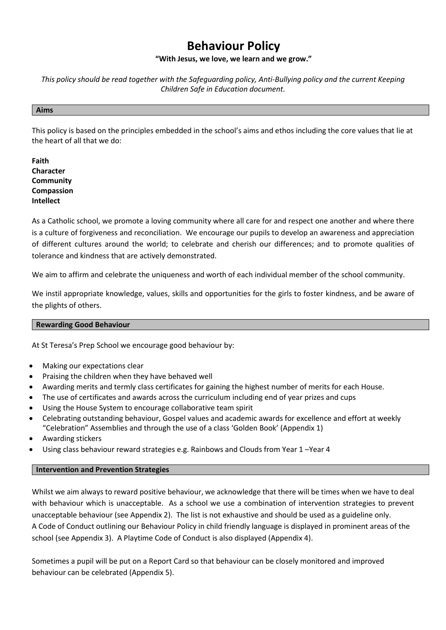# **Behaviour Policy**

# **"With Jesus, we love, we learn and we grow."**

*This policy should be read together with the Safeguarding policy, Anti-Bullying policy and the current Keeping Children Safe in Education document.* 

#### **Aims**

This policy is based on the principles embedded in the school's aims and ethos including the core values that lie at the heart of all that we do:

**Faith Character Community Compassion Intellect**

As a Catholic school, we promote a loving community where all care for and respect one another and where there is a culture of forgiveness and reconciliation. We encourage our pupils to develop an awareness and appreciation of different cultures around the world; to celebrate and cherish our differences; and to promote qualities of tolerance and kindness that are actively demonstrated.

We aim to affirm and celebrate the uniqueness and worth of each individual member of the school community.

We instil appropriate knowledge, values, skills and opportunities for the girls to foster kindness, and be aware of the plights of others.

## **Rewarding Good Behaviour**

At St Teresa's Prep School we encourage good behaviour by:

- Making our expectations clear
- Praising the children when they have behaved well
- Awarding merits and termly class certificates for gaining the highest number of merits for each House.
- The use of certificates and awards across the curriculum including end of year prizes and cups
- Using the House System to encourage collaborative team spirit
- Celebrating outstanding behaviour, Gospel values and academic awards for excellence and effort at weekly "Celebration" Assemblies and through the use of a class 'Golden Book' (Appendix 1)
- Awarding stickers
- Using class behaviour reward strategies e.g. Rainbows and Clouds from Year 1 –Year 4

## **Intervention and Prevention Strategies**

Whilst we aim always to reward positive behaviour, we acknowledge that there will be times when we have to deal with behaviour which is unacceptable. As a school we use a combination of intervention strategies to prevent unacceptable behaviour (see Appendix 2). The list is not exhaustive and should be used as a guideline only. A Code of Conduct outlining our Behaviour Policy in child friendly language is displayed in prominent areas of the school (see Appendix 3). A Playtime Code of Conduct is also displayed (Appendix 4).

Sometimes a pupil will be put on a Report Card so that behaviour can be closely monitored and improved behaviour can be celebrated (Appendix 5).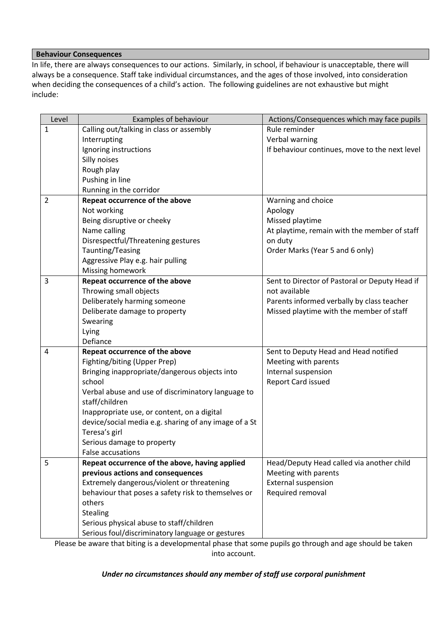# **Behaviour Consequences**

In life, there are always consequences to our actions. Similarly, in school, if behaviour is unacceptable, there will always be a consequence. Staff take individual circumstances, and the ages of those involved, into consideration when deciding the consequences of a child's action. The following guidelines are not exhaustive but might include:

| Level        | Examples of behaviour                                 | Actions/Consequences which may face pupils     |
|--------------|-------------------------------------------------------|------------------------------------------------|
| $\mathbf{1}$ | Calling out/talking in class or assembly              | Rule reminder                                  |
|              | Interrupting                                          | Verbal warning                                 |
|              | Ignoring instructions                                 | If behaviour continues, move to the next level |
|              | Silly noises                                          |                                                |
|              | Rough play                                            |                                                |
|              | Pushing in line                                       |                                                |
|              | Running in the corridor                               |                                                |
| 2            | Repeat occurrence of the above                        | Warning and choice                             |
|              | Not working                                           | Apology                                        |
|              | Being disruptive or cheeky                            | Missed playtime                                |
|              | Name calling                                          | At playtime, remain with the member of staff   |
|              | Disrespectful/Threatening gestures                    | on duty                                        |
|              | Taunting/Teasing                                      | Order Marks (Year 5 and 6 only)                |
|              | Aggressive Play e.g. hair pulling                     |                                                |
|              | Missing homework                                      |                                                |
| 3            | Repeat occurrence of the above                        | Sent to Director of Pastoral or Deputy Head if |
|              | Throwing small objects                                | not available                                  |
|              | Deliberately harming someone                          | Parents informed verbally by class teacher     |
|              | Deliberate damage to property                         | Missed playtime with the member of staff       |
|              | Swearing                                              |                                                |
|              | Lying                                                 |                                                |
|              | Defiance                                              |                                                |
| 4            | Repeat occurrence of the above                        | Sent to Deputy Head and Head notified          |
|              | Fighting/biting (Upper Prep)                          | Meeting with parents                           |
|              | Bringing inappropriate/dangerous objects into         | Internal suspension                            |
|              | school                                                | <b>Report Card issued</b>                      |
|              | Verbal abuse and use of discriminatory language to    |                                                |
|              | staff/children                                        |                                                |
|              | Inappropriate use, or content, on a digital           |                                                |
|              | device/social media e.g. sharing of any image of a St |                                                |
|              | Teresa's girl                                         |                                                |
|              | Serious damage to property                            |                                                |
|              | False accusations                                     |                                                |
| 5            | Repeat occurrence of the above, having applied        | Head/Deputy Head called via another child      |
|              | previous actions and consequences                     | Meeting with parents                           |
|              | Extremely dangerous/violent or threatening            | <b>External suspension</b>                     |
|              | behaviour that poses a safety risk to themselves or   | Required removal                               |
|              | others                                                |                                                |
|              | Stealing                                              |                                                |
|              | Serious physical abuse to staff/children              |                                                |
|              | Serious foul/discriminatory language or gestures      |                                                |

Please be aware that biting is a developmental phase that some pupils go through and age should be taken into account.

## *Under no circumstances should any member of staff use corporal punishment*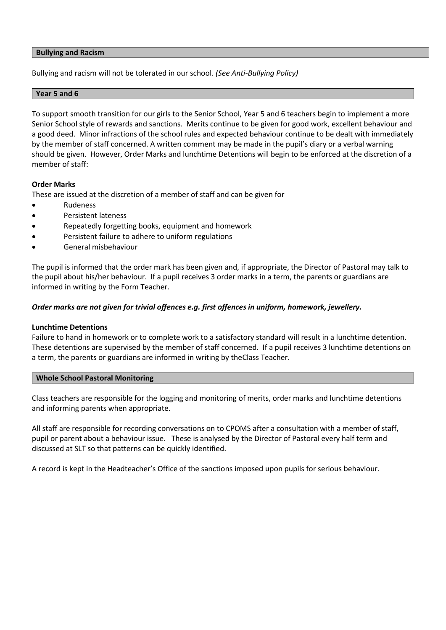## **Bullying and Racism**

Bullying and racism will not be tolerated in our school. *(See Anti-Bullying Policy)*

## **Year 5 and 6**

To support smooth transition for our girls to the Senior School, Year 5 and 6 teachers begin to implement a more Senior School style of rewards and sanctions. Merits continue to be given for good work, excellent behaviour and a good deed. Minor infractions of the school rules and expected behaviour continue to be dealt with immediately by the member of staff concerned. A written comment may be made in the pupil's diary or a verbal warning should be given. However, Order Marks and lunchtime Detentions will begin to be enforced at the discretion of a member of staff:

## **Order Marks**

These are issued at the discretion of a member of staff and can be given for

- Rudeness
- Persistent lateness
- Repeatedly forgetting books, equipment and homework
- Persistent failure to adhere to uniform regulations
- General misbehaviour

The pupil is informed that the order mark has been given and, if appropriate, the Director of Pastoral may talk to the pupil about his/her behaviour. If a pupil receives 3 order marks in a term, the parents or guardians are informed in writing by the Form Teacher.

## *Order marks are not given for trivial offences e.g. first offences in uniform, homework, jewellery.*

#### **Lunchtime Detentions**

Failure to hand in homework or to complete work to a satisfactory standard will result in a lunchtime detention. These detentions are supervised by the member of staff concerned. If a pupil receives 3 lunchtime detentions on a term, the parents or guardians are informed in writing by theClass Teacher.

#### **Whole School Pastoral Monitoring**

Class teachers are responsible for the logging and monitoring of merits, order marks and lunchtime detentions and informing parents when appropriate.

All staff are responsible for recording conversations on to CPOMS after a consultation with a member of staff, pupil or parent about a behaviour issue. These is analysed by the Director of Pastoral every half term and discussed at SLT so that patterns can be quickly identified.

A record is kept in the Headteacher's Office of the sanctions imposed upon pupils for serious behaviour.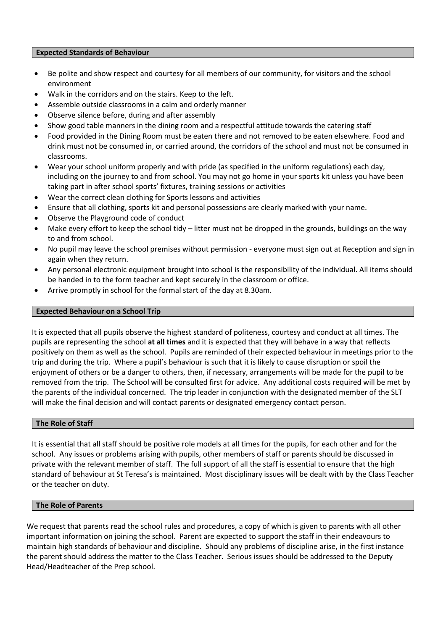## **Expected Standards of Behaviour**

- Be polite and show respect and courtesy for all members of our community, for visitors and the school environment
- Walk in the corridors and on the stairs. Keep to the left.
- Assemble outside classrooms in a calm and orderly manner
- Observe silence before, during and after assembly
- Show good table manners in the dining room and a respectful attitude towards the catering staff
- Food provided in the Dining Room must be eaten there and not removed to be eaten elsewhere. Food and drink must not be consumed in, or carried around, the corridors of the school and must not be consumed in classrooms.
- Wear your school uniform properly and with pride (as specified in the uniform regulations) each day, including on the journey to and from school. You may not go home in your sports kit unless you have been taking part in after school sports' fixtures, training sessions or activities
- Wear the correct clean clothing for Sports lessons and activities
- Ensure that all clothing, sports kit and personal possessions are clearly marked with your name.
- Observe the Playground code of conduct
- Make every effort to keep the school tidy litter must not be dropped in the grounds, buildings on the way to and from school.
- No pupil may leave the school premises without permission everyone must sign out at Reception and sign in again when they return.
- Any personal electronic equipment brought into school is the responsibility of the individual. All items should be handed in to the form teacher and kept securely in the classroom or office.
- Arrive promptly in school for the formal start of the day at 8.30am.

## **Expected Behaviour on a School Trip**

It is expected that all pupils observe the highest standard of politeness, courtesy and conduct at all times. The pupils are representing the school **at all times** and it is expected that they will behave in a way that reflects positively on them as well as the school. Pupils are reminded of their expected behaviour in meetings prior to the trip and during the trip. Where a pupil's behaviour is such that it is likely to cause disruption or spoil the enjoyment of others or be a danger to others, then, if necessary, arrangements will be made for the pupil to be removed from the trip. The School will be consulted first for advice. Any additional costs required will be met by the parents of the individual concerned. The trip leader in conjunction with the designated member of the SLT will make the final decision and will contact parents or designated emergency contact person.

#### **The Role of Staff**

It is essential that all staff should be positive role models at all times for the pupils, for each other and for the school. Any issues or problems arising with pupils, other members of staff or parents should be discussed in private with the relevant member of staff. The full support of all the staff is essential to ensure that the high standard of behaviour at St Teresa's is maintained. Most disciplinary issues will be dealt with by the Class Teacher or the teacher on duty.

## **The Role of Parents**

We request that parents read the school rules and procedures, a copy of which is given to parents with all other important information on joining the school. Parent are expected to support the staff in their endeavours to maintain high standards of behaviour and discipline. Should any problems of discipline arise, in the first instance the parent should address the matter to the Class Teacher. Serious issues should be addressed to the Deputy Head/Headteacher of the Prep school.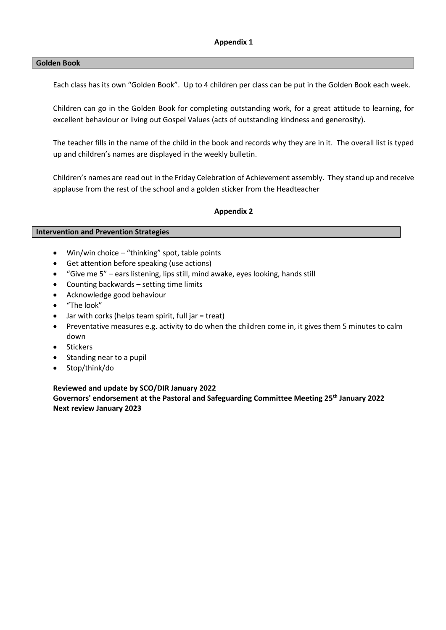## **Golden Book**

Each class has its own "Golden Book". Up to 4 children per class can be put in the Golden Book each week.

Children can go in the Golden Book for completing outstanding work, for a great attitude to learning, for excellent behaviour or living out Gospel Values (acts of outstanding kindness and generosity).

The teacher fills in the name of the child in the book and records why they are in it. The overall list is typed up and children's names are displayed in the weekly bulletin.

Children's names are read out in the Friday Celebration of Achievement assembly. They stand up and receive applause from the rest of the school and a golden sticker from the Headteacher

## **Appendix 2**

#### **Intervention and Prevention Strategies**

- Win/win choice "thinking" spot, table points
- Get attention before speaking (use actions)
- "Give me 5" ears listening, lips still, mind awake, eyes looking, hands still
- Counting backwards setting time limits
- Acknowledge good behaviour
- "The look"
- Jar with corks (helps team spirit, full jar = treat)
- Preventative measures e.g. activity to do when the children come in, it gives them 5 minutes to calm down
- Stickers
- Standing near to a pupil
- Stop/think/do

#### **Reviewed and update by SCO/DIR January 2022**

**Governors' endorsement at the Pastoral and Safeguarding Committee Meeting 25th January 2022 Next review January 2023**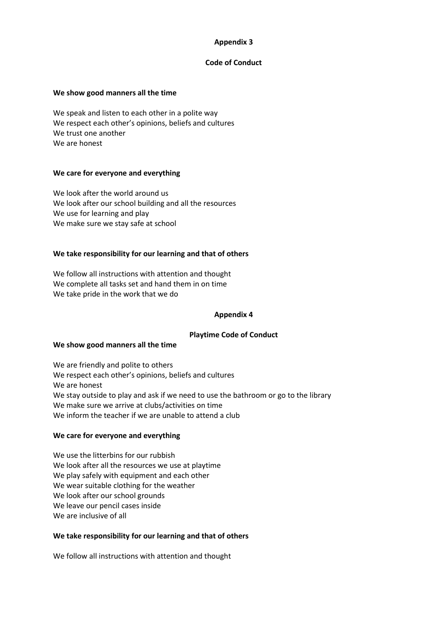# **Appendix 3**

## **Code of Conduct**

## **We show good manners all the time**

We speak and listen to each other in a polite way We respect each other's opinions, beliefs and cultures We trust one another We are honest

## **We care for everyone and everything**

We look after the world around us We look after our school building and all the resources We use for learning and play We make sure we stay safe at school

## **We take responsibility for our learning and that of others**

We follow all instructions with attention and thought We complete all tasks set and hand them in on time We take pride in the work that we do

## **Appendix 4**

## **Playtime Code of Conduct**

#### **We show good manners all the time**

We are friendly and polite to others We respect each other's opinions, beliefs and cultures We are honest We stay outside to play and ask if we need to use the bathroom or go to the library We make sure we arrive at clubs/activities on time We inform the teacher if we are unable to attend a club

## **We care for everyone and everything**

We use the litterbins for our rubbish We look after all the resources we use at playtime We play safely with equipment and each other We wear suitable clothing for the weather We look after our school grounds We leave our pencil cases inside We are inclusive of all

# **We take responsibility for our learning and that of others**

We follow all instructions with attention and thought